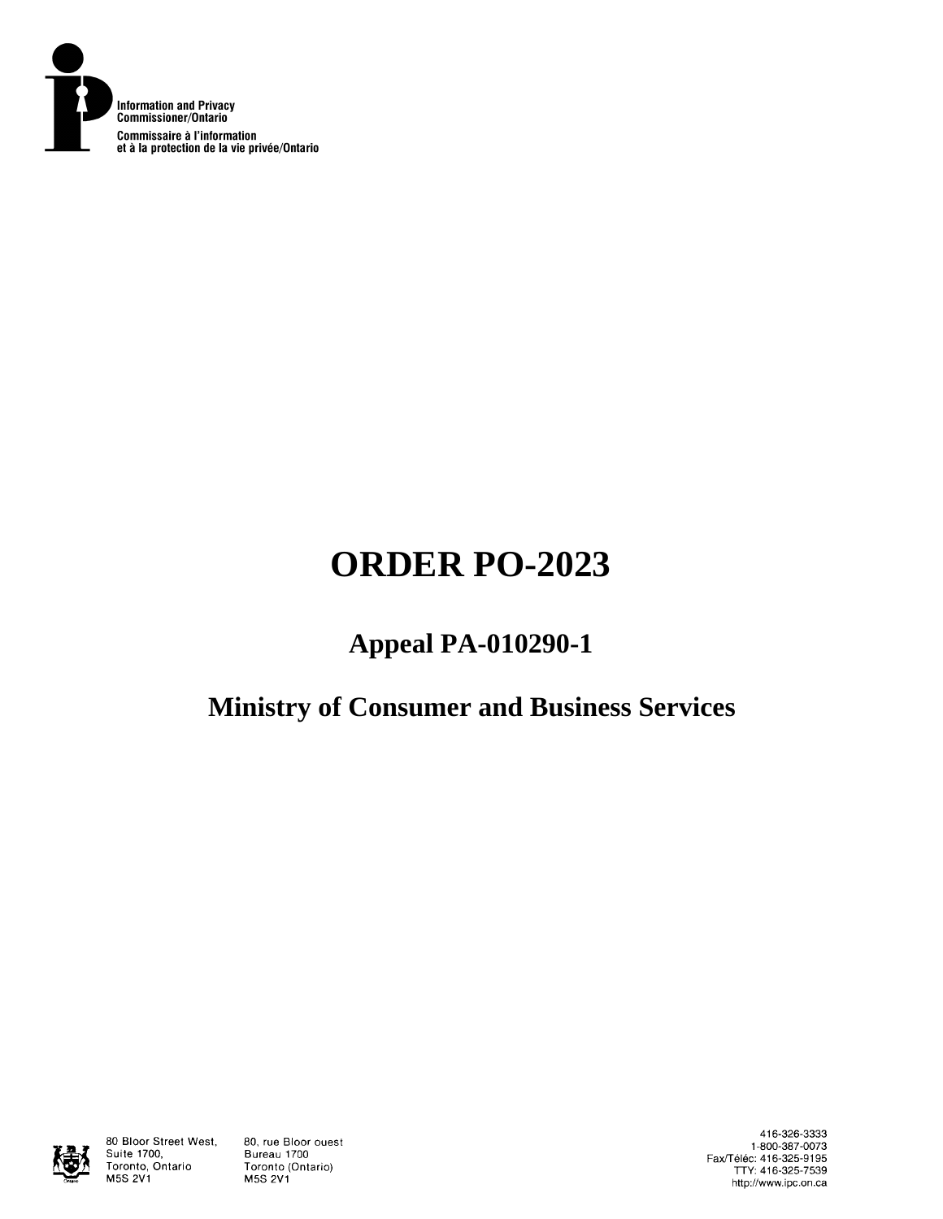

# **ORDER PO-2023**

## **Appeal PA-010290-1**

## **Ministry of Consumer and Business Services**



80 Bloor Street West, Suite 1700, Toronto, Ontario **M5S 2V1** 

80, rue Bloor ouest Bureau 1700 Toronto (Ontario) **M5S 2V1** 

416-326-3333 1-800-387-0073 Fax/Téléc: 416-325-9195<br>TTY: 416-325-7539 http://www.ipc.on.ca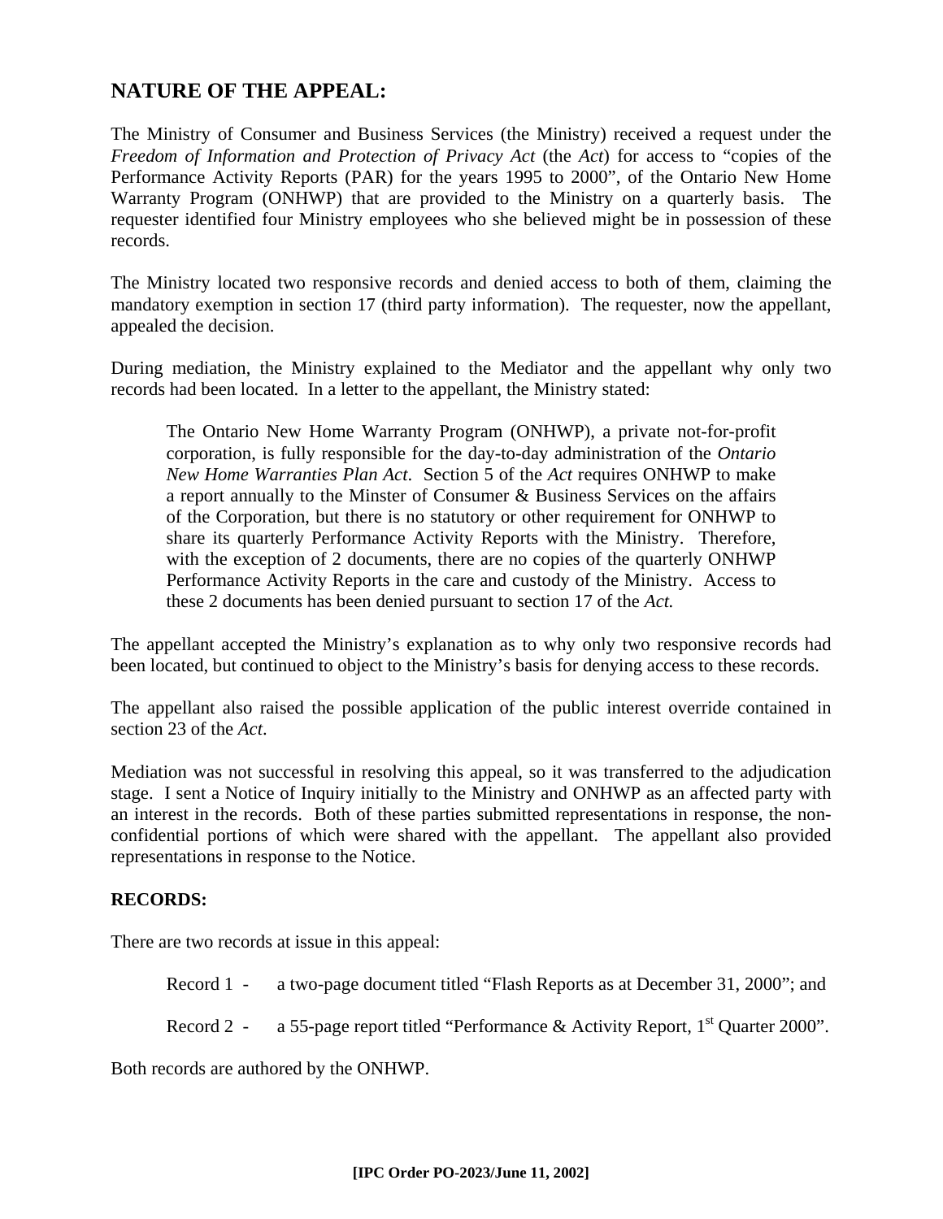## **NATURE OF THE APPEAL:**

The Ministry of Consumer and Business Services (the Ministry) received a request under the *Freedom of Information and Protection of Privacy Act* (the *Act*) for access to "copies of the Performance Activity Reports (PAR) for the years 1995 to 2000", of the Ontario New Home Warranty Program (ONHWP) that are provided to the Ministry on a quarterly basis. The requester identified four Ministry employees who she believed might be in possession of these records.

The Ministry located two responsive records and denied access to both of them, claiming the mandatory exemption in section 17 (third party information). The requester, now the appellant, appealed the decision.

During mediation, the Ministry explained to the Mediator and the appellant why only two records had been located. In a letter to the appellant, the Ministry stated:

The Ontario New Home Warranty Program (ONHWP), a private not-for-profit corporation, is fully responsible for the day-to-day administration of the *Ontario New Home Warranties Plan Act*. Section 5 of the *Act* requires ONHWP to make a report annually to the Minster of Consumer & Business Services on the affairs of the Corporation, but there is no statutory or other requirement for ONHWP to share its quarterly Performance Activity Reports with the Ministry. Therefore, with the exception of 2 documents, there are no copies of the quarterly ONHWP Performance Activity Reports in the care and custody of the Ministry. Access to these 2 documents has been denied pursuant to section 17 of the *Act.*

The appellant accepted the Ministry's explanation as to why only two responsive records had been located, but continued to object to the Ministry's basis for denying access to these records.

The appellant also raised the possible application of the public interest override contained in section 23 of the *Act*.

Mediation was not successful in resolving this appeal, so it was transferred to the adjudication stage. I sent a Notice of Inquiry initially to the Ministry and ONHWP as an affected party with an interest in the records. Both of these parties submitted representations in response, the nonconfidential portions of which were shared with the appellant. The appellant also provided representations in response to the Notice.

#### **RECORDS:**

There are two records at issue in this appeal:

Record 1 - a two-page document titled "Flash Reports as at December 31, 2000"; and

Record 2 - a 55-page report titled "Performance & Activity Report,  $1<sup>st</sup>$  Quarter 2000".

Both records are authored by the ONHWP.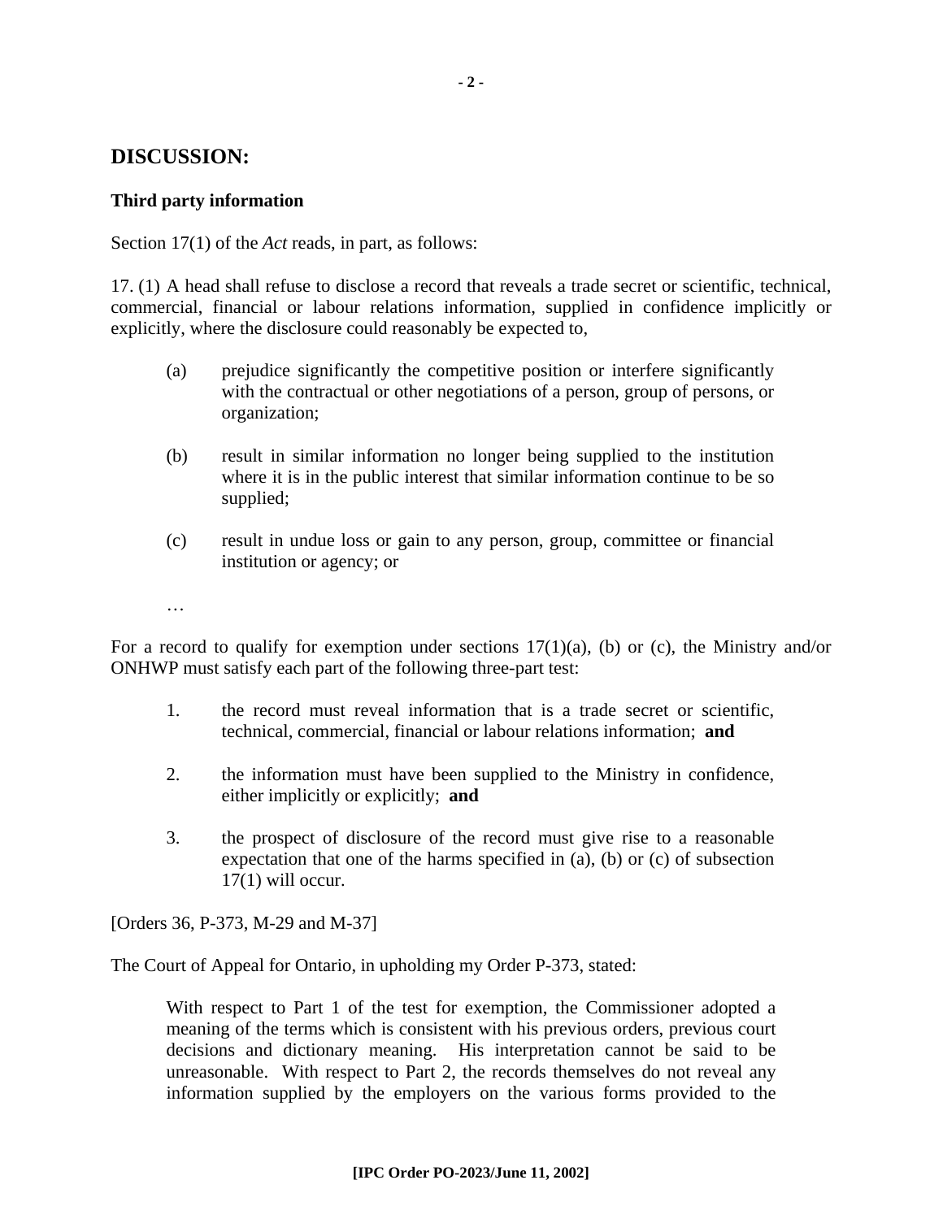## **DISCUSSION:**

#### **Third party information**

Section 17(1) of the *Act* reads, in part, as follows:

17. (1) A head shall refuse to disclose a record that reveals a trade secret or scientific, technical, commercial, financial or labour relations information, supplied in confidence implicitly or explicitly, where the disclosure could reasonably be expected to,

- (a) prejudice significantly the competitive position or interfere significantly with the contractual or other negotiations of a person, group of persons, or organization;
- (b) result in similar information no longer being supplied to the institution where it is in the public interest that similar information continue to be so supplied;
- (c) result in undue loss or gain to any person, group, committee or financial institution or agency; or
- …<br>……

For a record to qualify for exemption under sections  $17(1)(a)$ , (b) or (c), the Ministry and/or ONHWP must satisfy each part of the following three-part test:

- 1. the record must reveal information that is a trade secret or scientific, technical, commercial, financial or labour relations information; **and**
- 2. the information must have been supplied to the Ministry in confidence, either implicitly or explicitly; **and**
- 3. the prospect of disclosure of the record must give rise to a reasonable expectation that one of the harms specified in (a), (b) or (c) of subsection  $17(1)$  will occur.

[Orders 36, P-373, M-29 and M-37]

The Court of Appeal for Ontario, in upholding my Order P-373, stated:

With respect to Part 1 of the test for exemption, the Commissioner adopted a meaning of the terms which is consistent with his previous orders, previous court decisions and dictionary meaning. His interpretation cannot be said to be unreasonable. With respect to Part 2, the records themselves do not reveal any information supplied by the employers on the various forms provided to the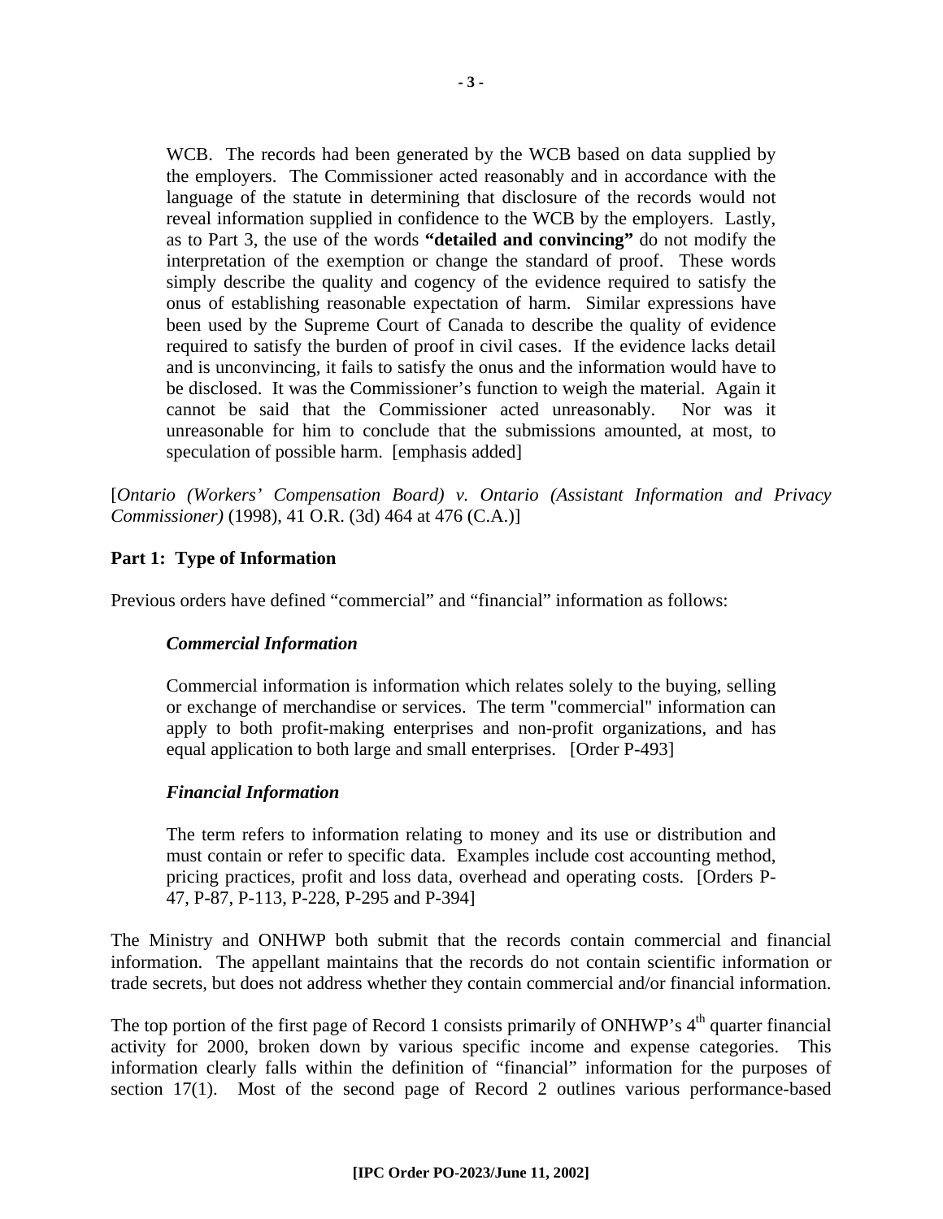WCB. The records had been generated by the WCB based on data supplied by the employers. The Commissioner acted reasonably and in accordance with the language of the statute in determining that disclosure of the records would not reveal information supplied in confidence to the WCB by the employers. Lastly, as to Part 3, the use of the words **"detailed and convincing"** do not modify the interpretation of the exemption or change the standard of proof. These words simply describe the quality and cogency of the evidence required to satisfy the onus of establishing reasonable expectation of harm. Similar expressions have been used by the Supreme Court of Canada to describe the quality of evidence required to satisfy the burden of proof in civil cases. If the evidence lacks detail and is unconvincing, it fails to satisfy the onus and the information would have to be disclosed. It was the Commissioner's function to weigh the material. Again it cannot be said that the Commissioner acted unreasonably. Nor was it unreasonable for him to conclude that the submissions amounted, at most, to speculation of possible harm. [emphasis added]

[*Ontario (Workers' Compensation Board) v. Ontario (Assistant Information and Privacy Commissioner)* (1998), 41 O.R. (3d) 464 at 476 (C.A.)]

## **Part 1: Type of Information**

Previous orders have defined "commercial" and "financial" information as follows:

#### *Commercial Information*

Commercial information is information which relates solely to the buying, selling or exchange of merchandise or services. The term "commercial" information can apply to both profit-making enterprises and non-profit organizations, and has equal application to both large and small enterprises. [Order P-493]

#### *Financial Information*

The term refers to information relating to money and its use or distribution and must contain or refer to specific data. Examples include cost accounting method, pricing practices, profit and loss data, overhead and operating costs. [Orders P-47, P-87, P-113, P-228, P-295 and P-394]

The Ministry and ONHWP both submit that the records contain commercial and financial information. The appellant maintains that the records do not contain scientific information or trade secrets, but does not address whether they contain commercial and/or financial information.

The top portion of the first page of Record 1 consists primarily of ONHWP's 4<sup>th</sup> quarter financial activity for 2000, broken down by various specific income and expense categories. This information clearly falls within the definition of "financial" information for the purposes of section 17(1). Most of the second page of Record 2 outlines various performance-based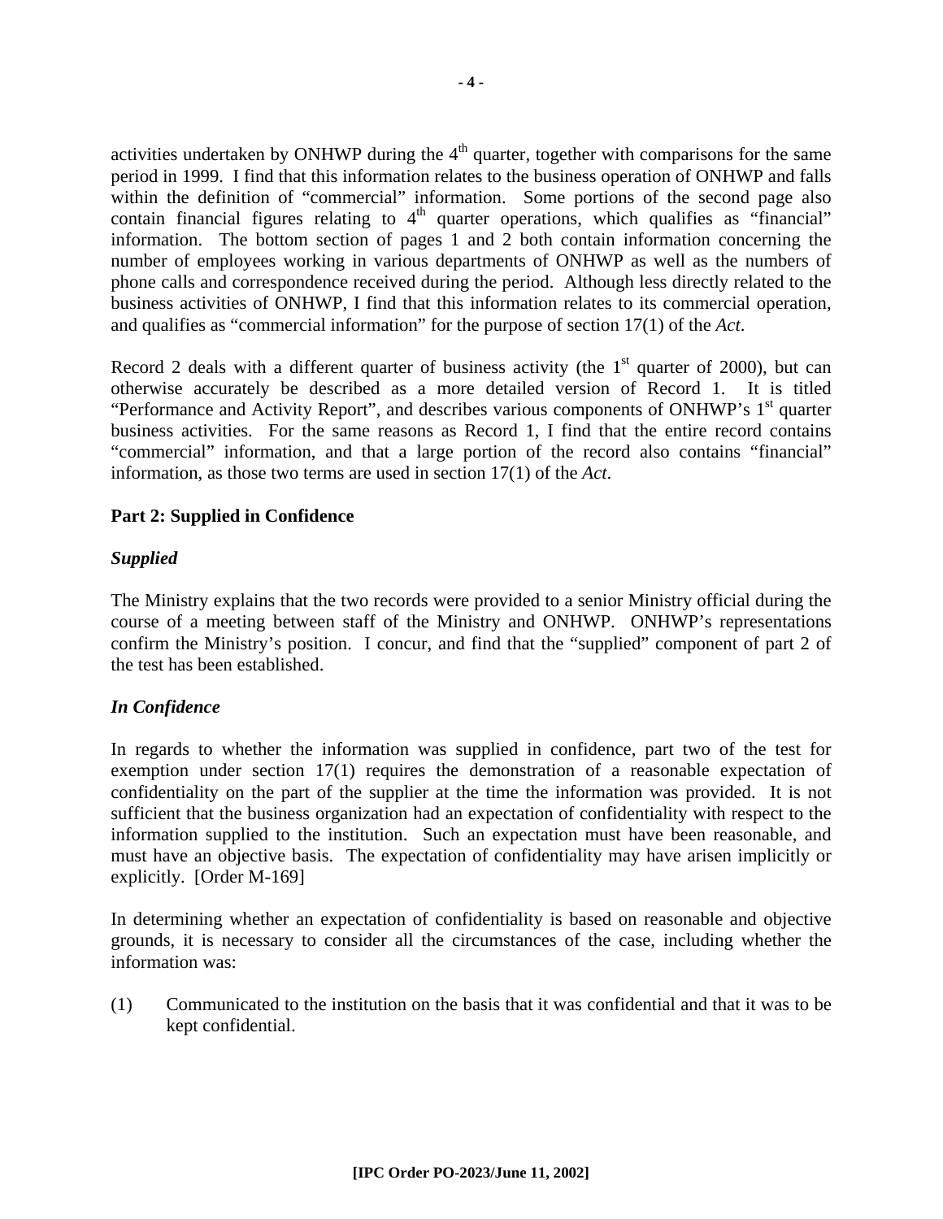activities undertaken by ONHWP during the  $4<sup>th</sup>$  quarter, together with comparisons for the same period in 1999. I find that this information relates to the business operation of ONHWP and falls within the definition of "commercial" information. Some portions of the second page also contain financial figures relating to  $4<sup>th</sup>$  quarter operations, which qualifies as "financial" information. The bottom section of pages 1 and 2 both contain information concerning the number of employees working in various departments of ONHWP as well as the numbers of phone calls and correspondence received during the period. Although less directly related to the business activities of ONHWP, I find that this information relates to its commercial operation, and qualifies as "commercial information" for the purpose of section 17(1) of the *Act*.

Record 2 deals with a different quarter of business activity (the  $1<sup>st</sup>$  quarter of 2000), but can otherwise accurately be described as a more detailed version of Record 1. It is titled "Performance and Activity Report", and describes various components of ONHWP's 1<sup>st</sup> quarter business activities. For the same reasons as Record 1, I find that the entire record contains "commercial" information, and that a large portion of the record also contains "financial" information, as those two terms are used in section 17(1) of the *Act*.

## **Part 2: Supplied in Confidence**

## *Supplied*

The Ministry explains that the two records were provided to a senior Ministry official during the course of a meeting between staff of the Ministry and ONHWP. ONHWP's representations confirm the Ministry's position. I concur, and find that the "supplied" component of part 2 of the test has been established.

## *In Confidence*

In regards to whether the information was supplied in confidence, part two of the test for exemption under section 17(1) requires the demonstration of a reasonable expectation of confidentiality on the part of the supplier at the time the information was provided. It is not sufficient that the business organization had an expectation of confidentiality with respect to the information supplied to the institution. Such an expectation must have been reasonable, and must have an objective basis. The expectation of confidentiality may have arisen implicitly or explicitly. [Order M-169]

In determining whether an expectation of confidentiality is based on reasonable and objective grounds, it is necessary to consider all the circumstances of the case, including whether the information was:

(1) Communicated to the institution on the basis that it was confidential and that it was to be kept confidential.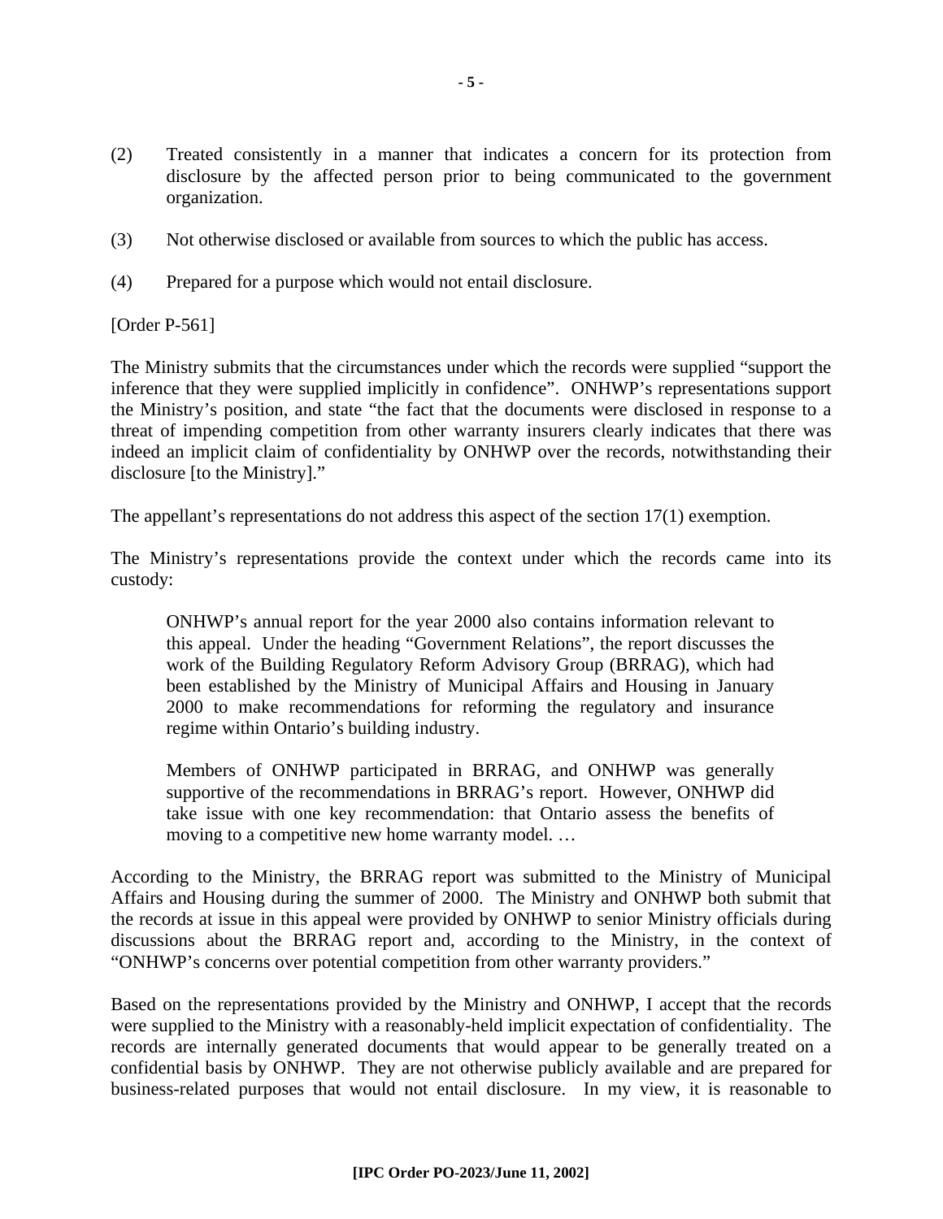- (2) Treated consistently in a manner that indicates a concern for its protection from disclosure by the affected person prior to being communicated to the government organization.
- (3) Not otherwise disclosed or available from sources to which the public has access.
- (4) Prepared for a purpose which would not entail disclosure.

[Order P-561]

The Ministry submits that the circumstances under which the records were supplied "support the inference that they were supplied implicitly in confidence". ONHWP's representations support the Ministry's position, and state "the fact that the documents were disclosed in response to a threat of impending competition from other warranty insurers clearly indicates that there was indeed an implicit claim of confidentiality by ONHWP over the records, notwithstanding their disclosure [to the Ministry]."

The appellant's representations do not address this aspect of the section 17(1) exemption.

The Ministry's representations provide the context under which the records came into its custody:

ONHWP's annual report for the year 2000 also contains information relevant to this appeal. Under the heading "Government Relations", the report discusses the work of the Building Regulatory Reform Advisory Group (BRRAG), which had been established by the Ministry of Municipal Affairs and Housing in January 2000 to make recommendations for reforming the regulatory and insurance regime within Ontario's building industry.

Members of ONHWP participated in BRRAG, and ONHWP was generally supportive of the recommendations in BRRAG's report. However, ONHWP did take issue with one key recommendation: that Ontario assess the benefits of moving to a competitive new home warranty model. …

According to the Ministry, the BRRAG report was submitted to the Ministry of Municipal Affairs and Housing during the summer of 2000. The Ministry and ONHWP both submit that the records at issue in this appeal were provided by ONHWP to senior Ministry officials during discussions about the BRRAG report and, according to the Ministry, in the context of "ONHWP's concerns over potential competition from other warranty providers."

Based on the representations provided by the Ministry and ONHWP, I accept that the records were supplied to the Ministry with a reasonably-held implicit expectation of confidentiality. The records are internally generated documents that would appear to be generally treated on a confidential basis by ONHWP. They are not otherwise publicly available and are prepared for business-related purposes that would not entail disclosure. In my view, it is reasonable to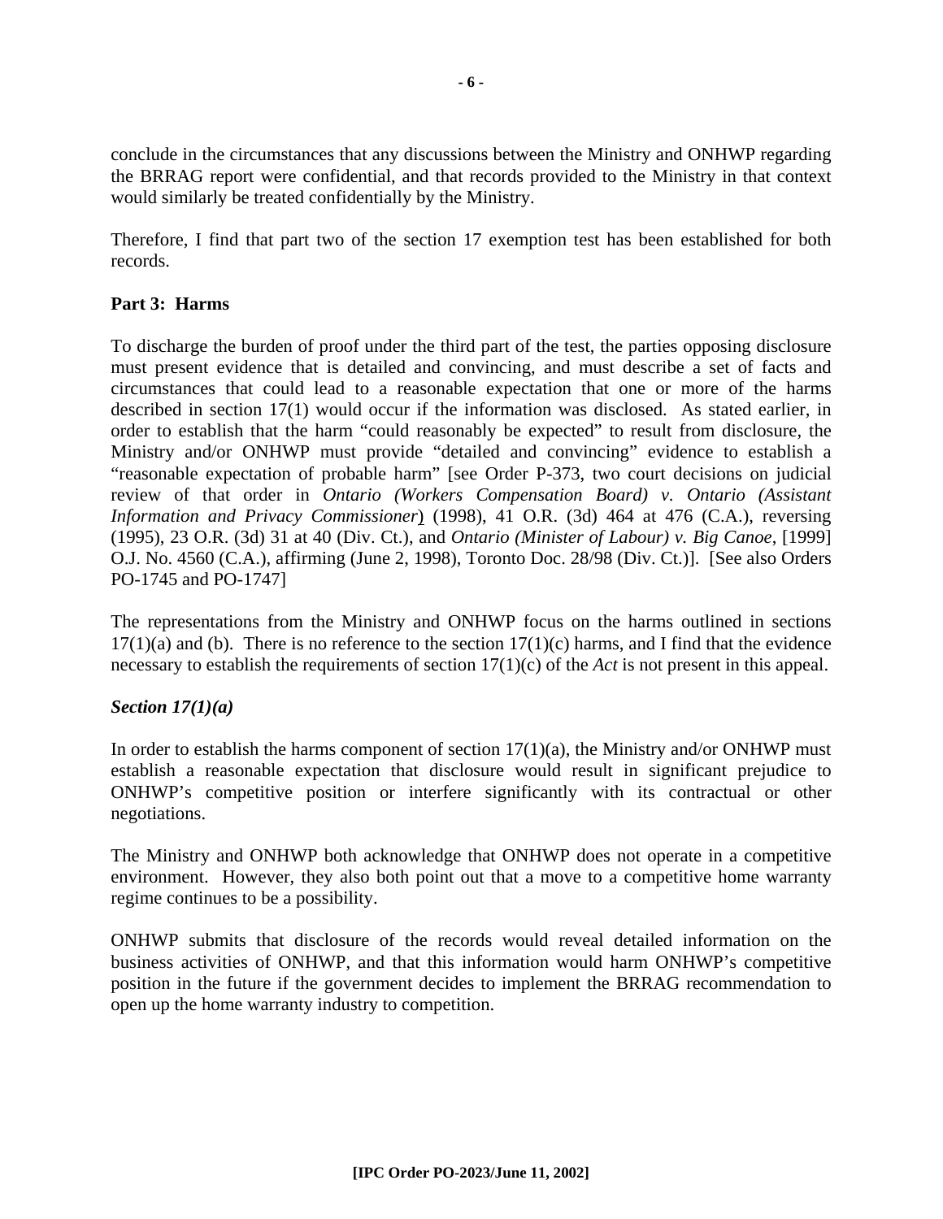conclude in the circumstances that any discussions between the Ministry and ONHWP regarding the BRRAG report were confidential, and that records provided to the Ministry in that context would similarly be treated confidentially by the Ministry.

Therefore, I find that part two of the section 17 exemption test has been established for both records.

#### **Part 3: Harms**

To discharge the burden of proof under the third part of the test, the parties opposing disclosure must present evidence that is detailed and convincing, and must describe a set of facts and circumstances that could lead to a reasonable expectation that one or more of the harms described in section 17(1) would occur if the information was disclosed. As stated earlier, in order to establish that the harm "could reasonably be expected" to result from disclosure, the Ministry and/or ONHWP must provide "detailed and convincing" evidence to establish a "reasonable expectation of probable harm" [see Order P-373, two court decisions on judicial review of that order in *Ontario (Workers Compensation Board) v. Ontario (Assistant Information and Privacy Commissioner*) (1998), 41 O.R. (3d) 464 at 476 (C.A.), reversing (1995), 23 O.R. (3d) 31 at 40 (Div. Ct.), and *Ontario (Minister of Labour) v. Big Canoe*, [1999] O.J. No. 4560 (C.A.), affirming (June 2, 1998), Toronto Doc. 28/98 (Div. Ct.)]. [See also Orders PO-1745 and PO-1747]

The representations from the Ministry and ONHWP focus on the harms outlined in sections  $17(1)(a)$  and (b). There is no reference to the section  $17(1)(c)$  harms, and I find that the evidence necessary to establish the requirements of section 17(1)(c) of the *Act* is not present in this appeal.

#### *Section 17(1)(a)*

In order to establish the harms component of section  $17(1)(a)$ , the Ministry and/or ONHWP must establish a reasonable expectation that disclosure would result in significant prejudice to ONHWP's competitive position or interfere significantly with its contractual or other negotiations.

The Ministry and ONHWP both acknowledge that ONHWP does not operate in a competitive environment. However, they also both point out that a move to a competitive home warranty regime continues to be a possibility.

ONHWP submits that disclosure of the records would reveal detailed information on the business activities of ONHWP, and that this information would harm ONHWP's competitive position in the future if the government decides to implement the BRRAG recommendation to open up the home warranty industry to competition.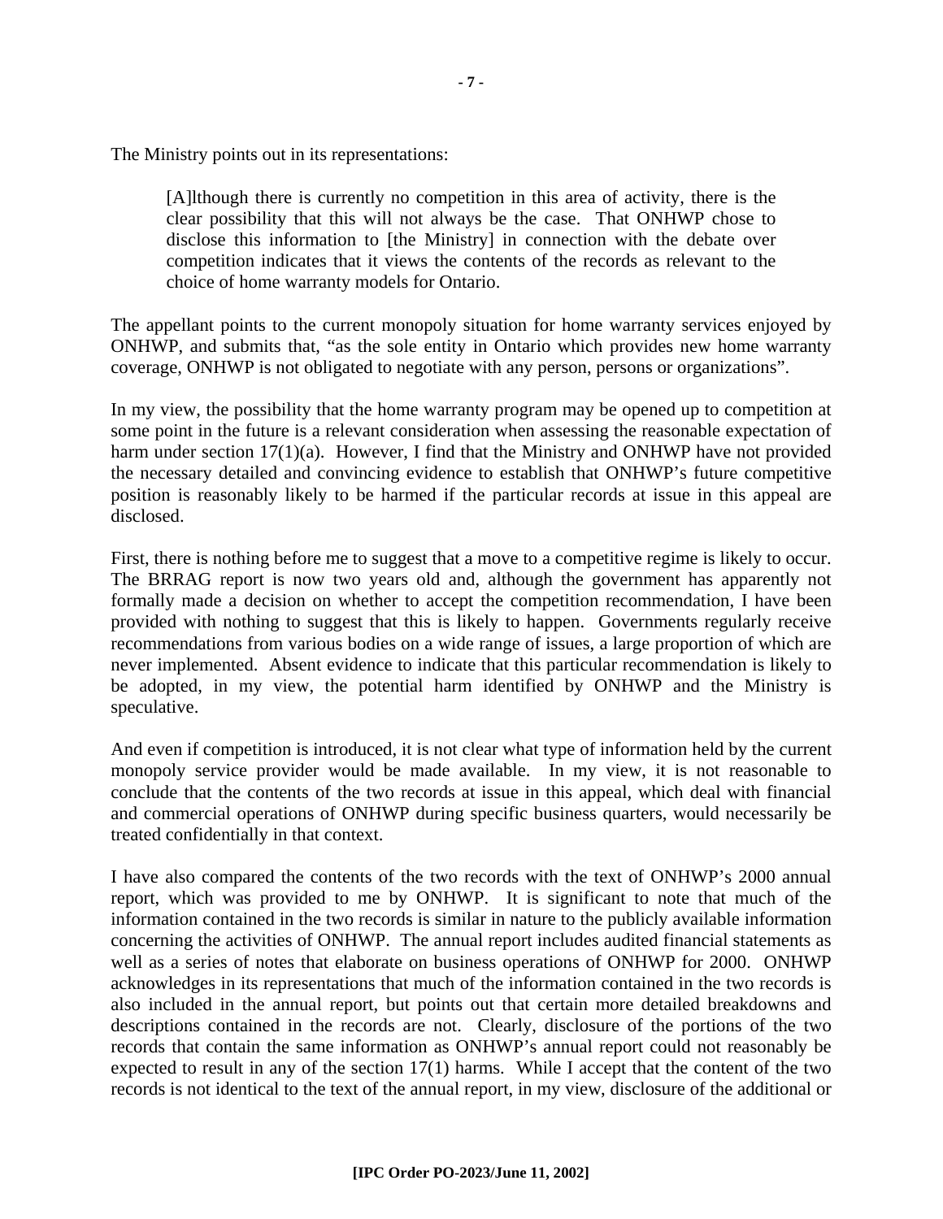The Ministry points out in its representations:

[A]lthough there is currently no competition in this area of activity, there is the clear possibility that this will not always be the case. That ONHWP chose to disclose this information to [the Ministry] in connection with the debate over competition indicates that it views the contents of the records as relevant to the choice of home warranty models for Ontario.

The appellant points to the current monopoly situation for home warranty services enjoyed by ONHWP, and submits that, "as the sole entity in Ontario which provides new home warranty coverage, ONHWP is not obligated to negotiate with any person, persons or organizations".

In my view, the possibility that the home warranty program may be opened up to competition at some point in the future is a relevant consideration when assessing the reasonable expectation of harm under section 17(1)(a). However, I find that the Ministry and ONHWP have not provided the necessary detailed and convincing evidence to establish that ONHWP's future competitive position is reasonably likely to be harmed if the particular records at issue in this appeal are disclosed.

First, there is nothing before me to suggest that a move to a competitive regime is likely to occur. The BRRAG report is now two years old and, although the government has apparently not formally made a decision on whether to accept the competition recommendation, I have been provided with nothing to suggest that this is likely to happen. Governments regularly receive recommendations from various bodies on a wide range of issues, a large proportion of which are never implemented. Absent evidence to indicate that this particular recommendation is likely to be adopted, in my view, the potential harm identified by ONHWP and the Ministry is speculative.

And even if competition is introduced, it is not clear what type of information held by the current monopoly service provider would be made available. In my view, it is not reasonable to conclude that the contents of the two records at issue in this appeal, which deal with financial and commercial operations of ONHWP during specific business quarters, would necessarily be treated confidentially in that context.

I have also compared the contents of the two records with the text of ONHWP's 2000 annual report, which was provided to me by ONHWP. It is significant to note that much of the information contained in the two records is similar in nature to the publicly available information concerning the activities of ONHWP. The annual report includes audited financial statements as well as a series of notes that elaborate on business operations of ONHWP for 2000. ONHWP acknowledges in its representations that much of the information contained in the two records is also included in the annual report, but points out that certain more detailed breakdowns and descriptions contained in the records are not. Clearly, disclosure of the portions of the two records that contain the same information as ONHWP's annual report could not reasonably be expected to result in any of the section 17(1) harms. While I accept that the content of the two records is not identical to the text of the annual report, in my view, disclosure of the additional or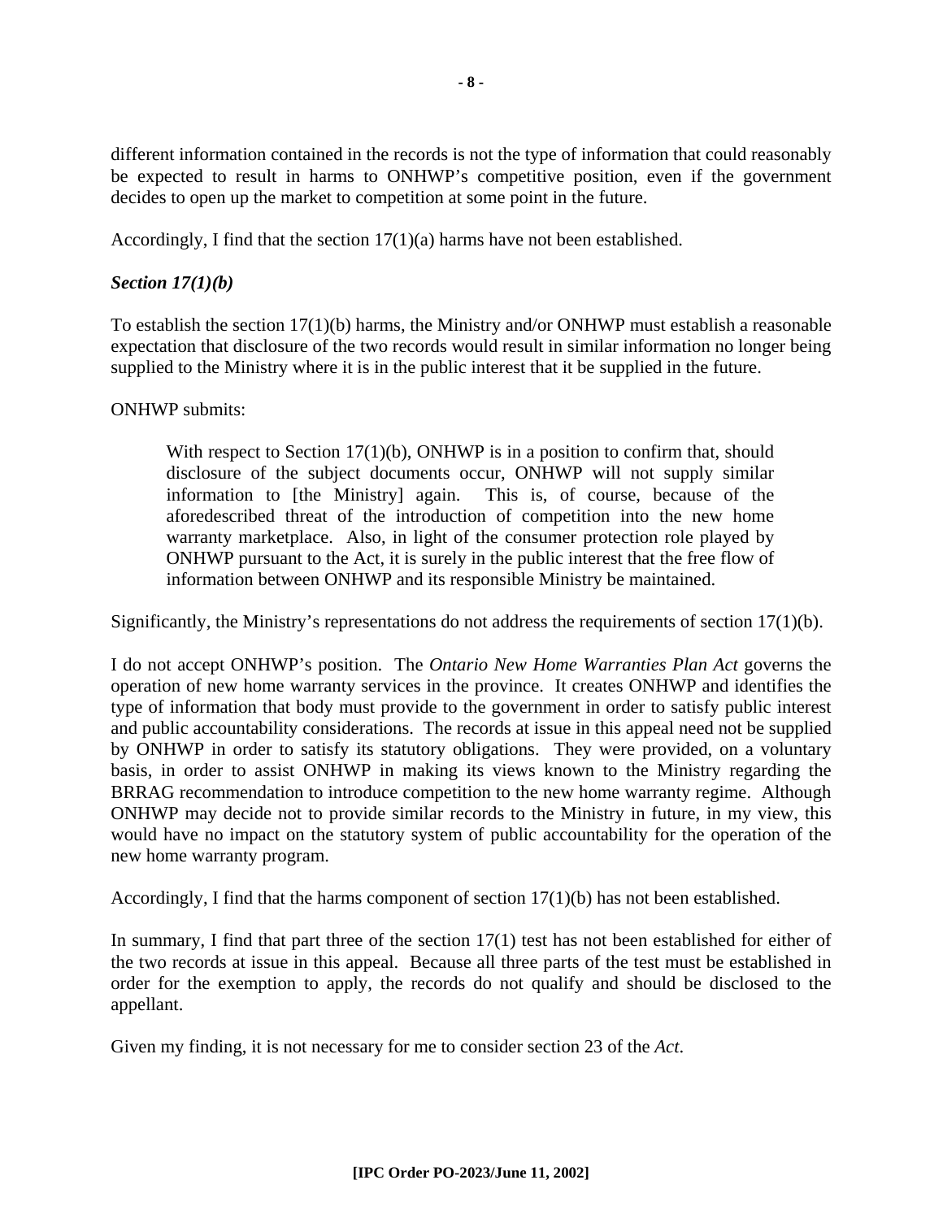different information contained in the records is not the type of information that could reasonably be expected to result in harms to ONHWP's competitive position, even if the government decides to open up the market to competition at some point in the future.

Accordingly, I find that the section 17(1)(a) harms have not been established.

## *Section 17(1)(b)*

To establish the section  $17(1)(b)$  harms, the Ministry and/or ONHWP must establish a reasonable expectation that disclosure of the two records would result in similar information no longer being supplied to the Ministry where it is in the public interest that it be supplied in the future.

## ONHWP submits:

With respect to Section 17(1)(b), ONHWP is in a position to confirm that, should disclosure of the subject documents occur, ONHWP will not supply similar information to [the Ministry] again. This is, of course, because of the aforedescribed threat of the introduction of competition into the new home warranty marketplace. Also, in light of the consumer protection role played by ONHWP pursuant to the Act, it is surely in the public interest that the free flow of information between ONHWP and its responsible Ministry be maintained.

Significantly, the Ministry's representations do not address the requirements of section  $17(1)(b)$ .

I do not accept ONHWP's position. The *Ontario New Home Warranties Plan Act* governs the operation of new home warranty services in the province. It creates ONHWP and identifies the type of information that body must provide to the government in order to satisfy public interest and public accountability considerations. The records at issue in this appeal need not be supplied by ONHWP in order to satisfy its statutory obligations. They were provided, on a voluntary basis, in order to assist ONHWP in making its views known to the Ministry regarding the BRRAG recommendation to introduce competition to the new home warranty regime. Although ONHWP may decide not to provide similar records to the Ministry in future, in my view, this would have no impact on the statutory system of public accountability for the operation of the new home warranty program.

Accordingly, I find that the harms component of section  $17(1)(b)$  has not been established.

In summary, I find that part three of the section 17(1) test has not been established for either of the two records at issue in this appeal. Because all three parts of the test must be established in order for the exemption to apply, the records do not qualify and should be disclosed to the appellant.

Given my finding, it is not necessary for me to consider section 23 of the *Act*.